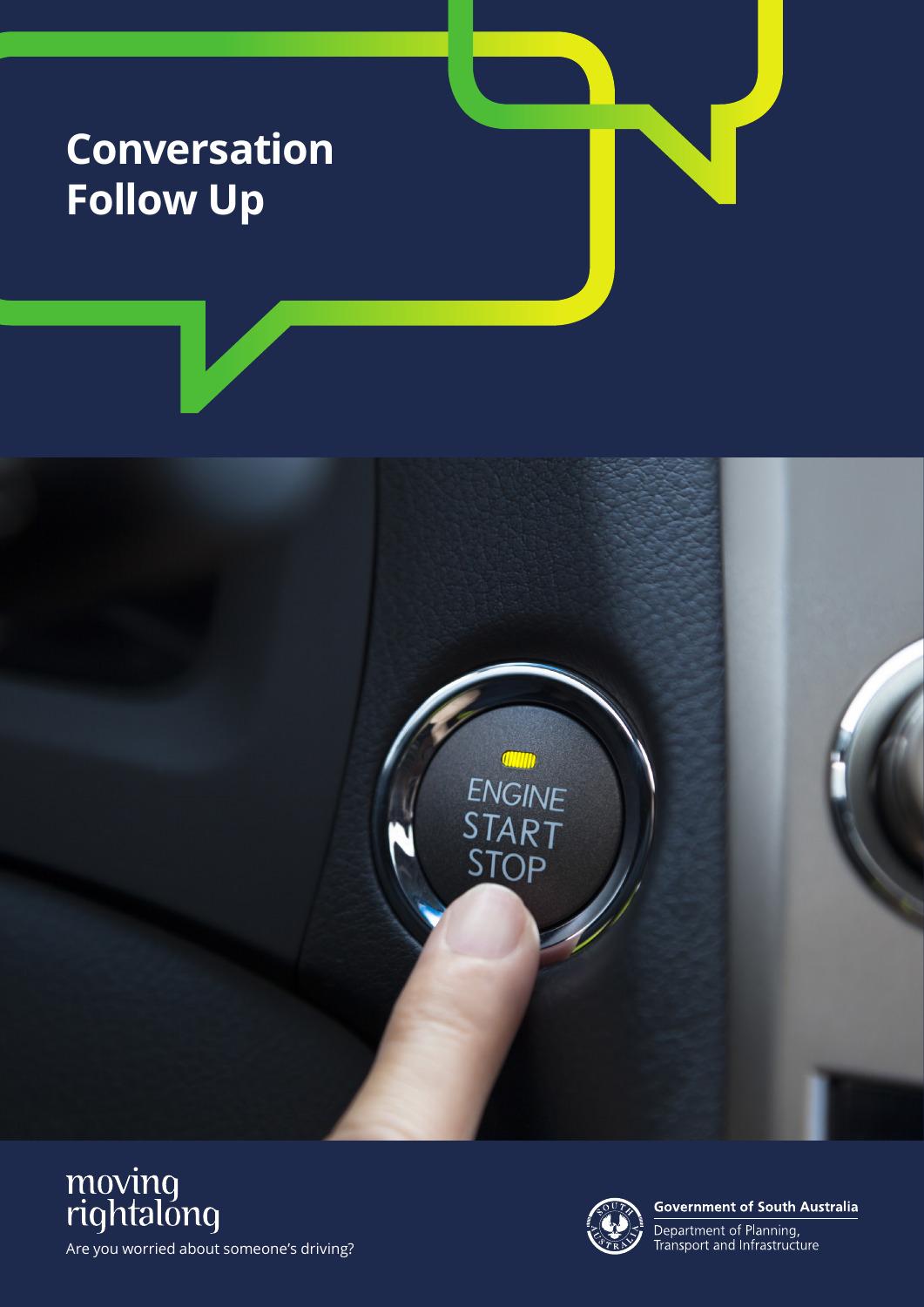## **Conversation Follow Up**







**Government of South Australia** 

Department of Planning,<br>Transport and Infrastructure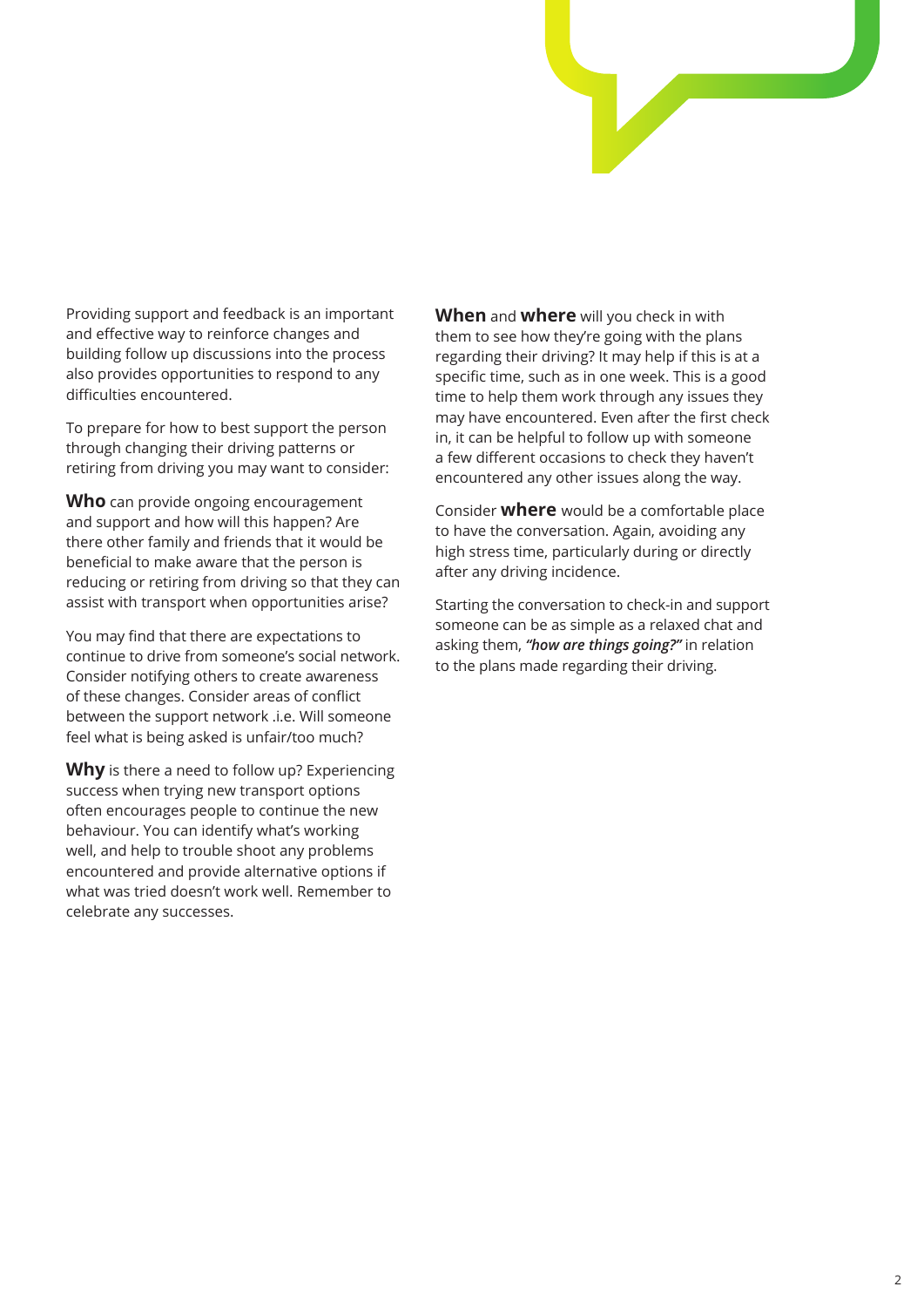

Providing support and feedback is an important and effective way to reinforce changes and building follow up discussions into the process also provides opportunities to respond to any difficulties encountered.

To prepare for how to best support the person through changing their driving patterns or retiring from driving you may want to consider:

**Who** can provide ongoing encouragement and support and how will this happen? Are there other family and friends that it would be beneficial to make aware that the person is reducing or retiring from driving so that they can assist with transport when opportunities arise?

You may find that there are expectations to continue to drive from someone's social network. Consider notifying others to create awareness of these changes. Consider areas of conflict between the support network .i.e. Will someone feel what is being asked is unfair/too much?

**Why** is there a need to follow up? Experiencing success when trying new transport options often encourages people to continue the new behaviour. You can identify what's working well, and help to trouble shoot any problems encountered and provide alternative options if what was tried doesn't work well. Remember to celebrate any successes.

**When** and **where** will you check in with them to see how they're going with the plans regarding their driving? It may help if this is at a specific time, such as in one week. This is a good time to help them work through any issues they may have encountered. Even after the first check in, it can be helpful to follow up with someone a few different occasions to check they haven't encountered any other issues along the way.

Consider **where** would be a comfortable place to have the conversation. Again, avoiding any high stress time, particularly during or directly after any driving incidence.

Starting the conversation to check-in and support someone can be as simple as a relaxed chat and asking them, *"how are things going?"* in relation to the plans made regarding their driving.